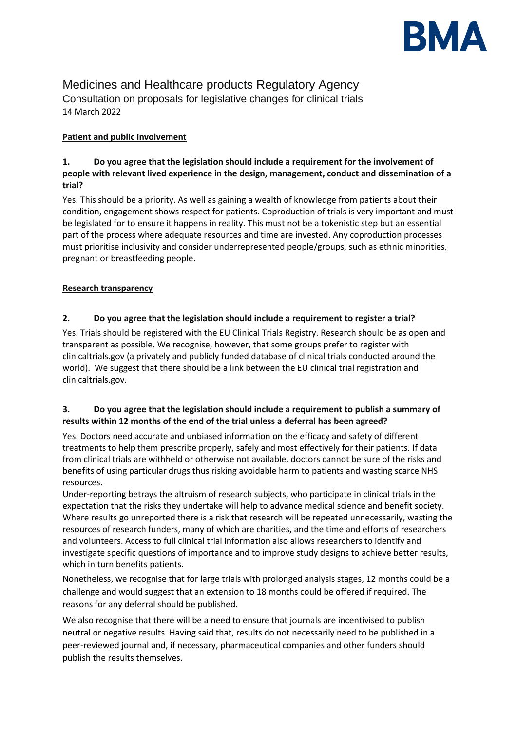

# Medicines and Healthcare products Regulatory Agency Consultation on proposals for legislative changes for clinical trials 14 March 2022

## **Patient and public involvement**

## **1. Do you agree that the legislation should include a requirement for the involvement of people with relevant lived experience in the design, management, conduct and dissemination of a trial?**

Yes. This should be a priority. As well as gaining a wealth of knowledge from patients about their condition, engagement shows respect for patients. Coproduction of trials is very important and must be legislated for to ensure it happens in reality. This must not be a tokenistic step but an essential part of the process where adequate resources and time are invested. Any coproduction processes must prioritise inclusivity and consider underrepresented people/groups, such as ethnic minorities, pregnant or breastfeeding people.

## **Research transparency**

## **2. Do you agree that the legislation should include a requirement to register a trial?**

Yes. Trials should be registered with the EU Clinical Trials Registry. Research should be as open and transparent as possible. We recognise, however, that some groups prefer to register with clinicaltrials.gov (a privately and publicly funded database of clinical trials conducted around the world). We suggest that there should be a link between the EU clinical trial registration and clinicaltrials.gov.

## **3. Do you agree that the legislation should include a requirement to publish a summary of results within 12 months of the end of the trial unless a deferral has been agreed?**

Yes. Doctors need accurate and unbiased information on the efficacy and safety of different treatments to help them prescribe properly, safely and most effectively for their patients. If data from clinical trials are withheld or otherwise not available, doctors cannot be sure of the risks and benefits of using particular drugs thus risking avoidable harm to patients and wasting scarce NHS resources.

Under-reporting betrays the altruism of research subjects, who participate in clinical trials in the expectation that the risks they undertake will help to advance medical science and benefit society. Where results go unreported there is a risk that research will be repeated unnecessarily, wasting the resources of research funders, many of which are charities, and the time and efforts of researchers and volunteers. Access to full clinical trial information also allows researchers to identify and investigate specific questions of importance and to improve study designs to achieve better results, which in turn benefits patients.

Nonetheless, we recognise that for large trials with prolonged analysis stages, 12 months could be a challenge and would suggest that an extension to 18 months could be offered if required. The reasons for any deferral should be published.

We also recognise that there will be a need to ensure that journals are incentivised to publish neutral or negative results. Having said that, results do not necessarily need to be published in a peer-reviewed journal and, if necessary, pharmaceutical companies and other funders should publish the results themselves.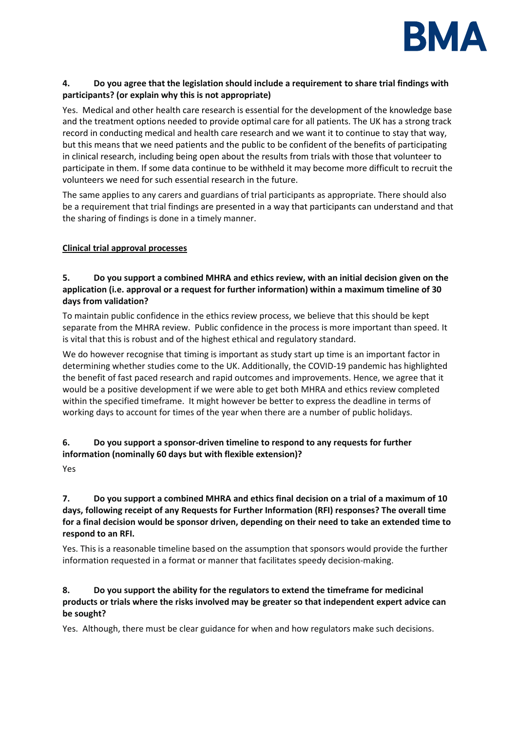

## **4. Do you agree that the legislation should include a requirement to share trial findings with participants? (or explain why this is not appropriate)**

Yes. Medical and other health care research is essential for the development of the knowledge base and the treatment options needed to provide optimal care for all patients. The UK has a strong track record in conducting medical and health care research and we want it to continue to stay that way, but this means that we need patients and the public to be confident of the benefits of participating in clinical research, including being open about the results from trials with those that volunteer to participate in them. If some data continue to be withheld it may become more difficult to recruit the volunteers we need for such essential research in the future.

The same applies to any carers and guardians of trial participants as appropriate. There should also be a requirement that trial findings are presented in a way that participants can understand and that the sharing of findings is done in a timely manner.

#### **Clinical trial approval processes**

## **5. Do you support a combined MHRA and ethics review, with an initial decision given on the application (i.e. approval or a request for further information) within a maximum timeline of 30 days from validation?**

To maintain public confidence in the ethics review process, we believe that this should be kept separate from the MHRA review. Public confidence in the process is more important than speed. It is vital that this is robust and of the highest ethical and regulatory standard.

We do however recognise that timing is important as study start up time is an important factor in determining whether studies come to the UK. Additionally, the COVID-19 pandemic has highlighted the benefit of fast paced research and rapid outcomes and improvements. Hence, we agree that it would be a positive development if we were able to get both MHRA and ethics review completed within the specified timeframe. It might however be better to express the deadline in terms of working days to account for times of the year when there are a number of public holidays.

## **6. Do you support a sponsor-driven timeline to respond to any requests for further information (nominally 60 days but with flexible extension)?**

Yes

## **7. Do you support a combined MHRA and ethics final decision on a trial of a maximum of 10 days, following receipt of any Requests for Further Information (RFI) responses? The overall time for a final decision would be sponsor driven, depending on their need to take an extended time to respond to an RFI.**

Yes. This is a reasonable timeline based on the assumption that sponsors would provide the further information requested in a format or manner that facilitates speedy decision-making.

## **8. Do you support the ability for the regulators to extend the timeframe for medicinal products or trials where the risks involved may be greater so that independent expert advice can be sought?**

Yes. Although, there must be clear guidance for when and how regulators make such decisions.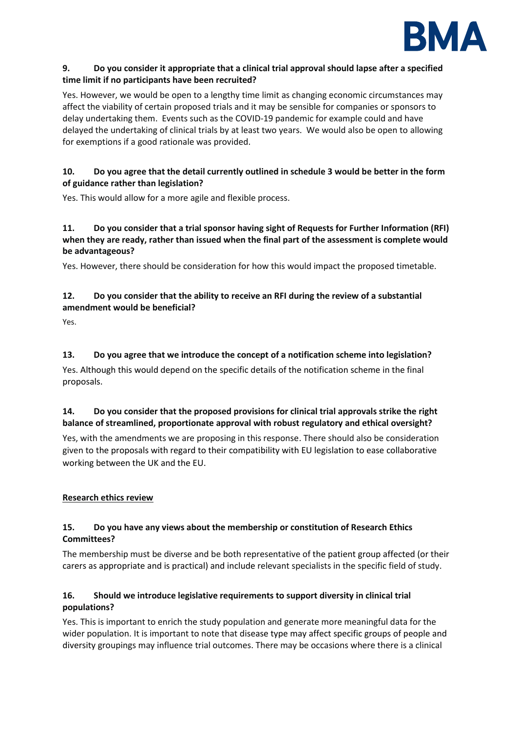

#### **9. Do you consider it appropriate that a clinical trial approval should lapse after a specified time limit if no participants have been recruited?**

Yes. However, we would be open to a lengthy time limit as changing economic circumstances may affect the viability of certain proposed trials and it may be sensible for companies or sponsors to delay undertaking them. Events such as the COVID-19 pandemic for example could and have delayed the undertaking of clinical trials by at least two years. We would also be open to allowing for exemptions if a good rationale was provided.

## **10. Do you agree that the detail currently outlined in schedule 3 would be better in the form of guidance rather than legislation?**

Yes. This would allow for a more agile and flexible process.

## **11. Do you consider that a trial sponsor having sight of Requests for Further Information (RFI) when they are ready, rather than issued when the final part of the assessment is complete would be advantageous?**

Yes. However, there should be consideration for how this would impact the proposed timetable.

## **12. Do you consider that the ability to receive an RFI during the review of a substantial amendment would be beneficial?**

Yes.

## **13. Do you agree that we introduce the concept of a notification scheme into legislation?**

Yes. Although this would depend on the specific details of the notification scheme in the final proposals.

## **14. Do you consider that the proposed provisions for clinical trial approvals strike the right balance of streamlined, proportionate approval with robust regulatory and ethical oversight?**

Yes, with the amendments we are proposing in this response. There should also be consideration given to the proposals with regard to their compatibility with EU legislation to ease collaborative working between the UK and the EU.

## **Research ethics review**

## **15. Do you have any views about the membership or constitution of Research Ethics Committees?**

The membership must be diverse and be both representative of the patient group affected (or their carers as appropriate and is practical) and include relevant specialists in the specific field of study.

## **16. Should we introduce legislative requirements to support diversity in clinical trial populations?**

Yes. This is important to enrich the study population and generate more meaningful data for the wider population. It is important to note that disease type may affect specific groups of people and diversity groupings may influence trial outcomes. There may be occasions where there is a clinical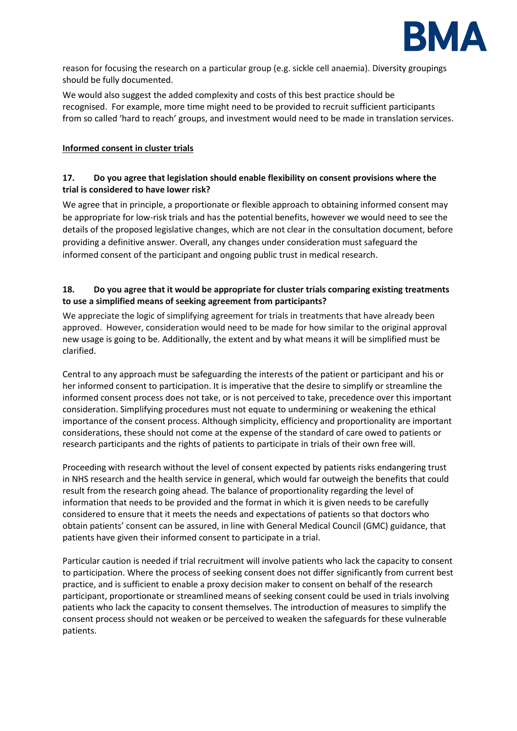

reason for focusing the research on a particular group (e.g. sickle cell anaemia). Diversity groupings should be fully documented.

We would also suggest the added complexity and costs of this best practice should be recognised. For example, more time might need to be provided to recruit sufficient participants from so called 'hard to reach' groups, and investment would need to be made in translation services.

#### **Informed consent in cluster trials**

## **17. Do you agree that legislation should enable flexibility on consent provisions where the trial is considered to have lower risk?**

We agree that in principle, a proportionate or flexible approach to obtaining informed consent may be appropriate for low-risk trials and has the potential benefits, however we would need to see the details of the proposed legislative changes, which are not clear in the consultation document, before providing a definitive answer. Overall, any changes under consideration must safeguard the informed consent of the participant and ongoing public trust in medical research.

#### **18. Do you agree that it would be appropriate for cluster trials comparing existing treatments to use a simplified means of seeking agreement from participants?**

We appreciate the logic of simplifying agreement for trials in treatments that have already been approved. However, consideration would need to be made for how similar to the original approval new usage is going to be. Additionally, the extent and by what means it will be simplified must be clarified.

Central to any approach must be safeguarding the interests of the patient or participant and his or her informed consent to participation. It is imperative that the desire to simplify or streamline the informed consent process does not take, or is not perceived to take, precedence over this important consideration. Simplifying procedures must not equate to undermining or weakening the ethical importance of the consent process. Although simplicity, efficiency and proportionality are important considerations, these should not come at the expense of the standard of care owed to patients or research participants and the rights of patients to participate in trials of their own free will.

Proceeding with research without the level of consent expected by patients risks endangering trust in NHS research and the health service in general, which would far outweigh the benefits that could result from the research going ahead. The balance of proportionality regarding the level of information that needs to be provided and the format in which it is given needs to be carefully considered to ensure that it meets the needs and expectations of patients so that doctors who obtain patients' consent can be assured, in line with General Medical Council (GMC) guidance, that patients have given their informed consent to participate in a trial.

Particular caution is needed if trial recruitment will involve patients who lack the capacity to consent to participation. Where the process of seeking consent does not differ significantly from current best practice, and is sufficient to enable a proxy decision maker to consent on behalf of the research participant, proportionate or streamlined means of seeking consent could be used in trials involving patients who lack the capacity to consent themselves. The introduction of measures to simplify the consent process should not weaken or be perceived to weaken the safeguards for these vulnerable patients.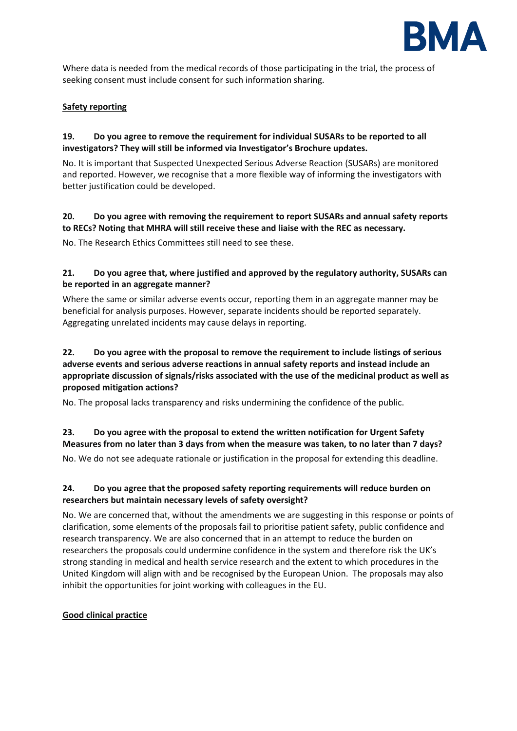

Where data is needed from the medical records of those participating in the trial, the process of seeking consent must include consent for such information sharing.

#### **Safety reporting**

#### **19. Do you agree to remove the requirement for individual SUSARs to be reported to all investigators? They will still be informed via Investigator's Brochure updates.**

No. It is important that Suspected Unexpected Serious Adverse Reaction (SUSARs) are monitored and reported. However, we recognise that a more flexible way of informing the investigators with better justification could be developed.

## **20. Do you agree with removing the requirement to report SUSARs and annual safety reports to RECs? Noting that MHRA will still receive these and liaise with the REC as necessary.**

No. The Research Ethics Committees still need to see these.

## **21. Do you agree that, where justified and approved by the regulatory authority, SUSARs can be reported in an aggregate manner?**

Where the same or similar adverse events occur, reporting them in an aggregate manner may be beneficial for analysis purposes. However, separate incidents should be reported separately. Aggregating unrelated incidents may cause delays in reporting.

## **22. Do you agree with the proposal to remove the requirement to include listings of serious adverse events and serious adverse reactions in annual safety reports and instead include an appropriate discussion of signals/risks associated with the use of the medicinal product as well as proposed mitigation actions?**

No. The proposal lacks transparency and risks undermining the confidence of the public.

# **23. Do you agree with the proposal to extend the written notification for Urgent Safety Measures from no later than 3 days from when the measure was taken, to no later than 7 days?**

No. We do not see adequate rationale or justification in the proposal for extending this deadline.

## **24. Do you agree that the proposed safety reporting requirements will reduce burden on researchers but maintain necessary levels of safety oversight?**

No. We are concerned that, without the amendments we are suggesting in this response or points of clarification, some elements of the proposals fail to prioritise patient safety, public confidence and research transparency. We are also concerned that in an attempt to reduce the burden on researchers the proposals could undermine confidence in the system and therefore risk the UK's strong standing in medical and health service research and the extent to which procedures in the United Kingdom will align with and be recognised by the European Union. The proposals may also inhibit the opportunities for joint working with colleagues in the EU.

## **Good clinical practice**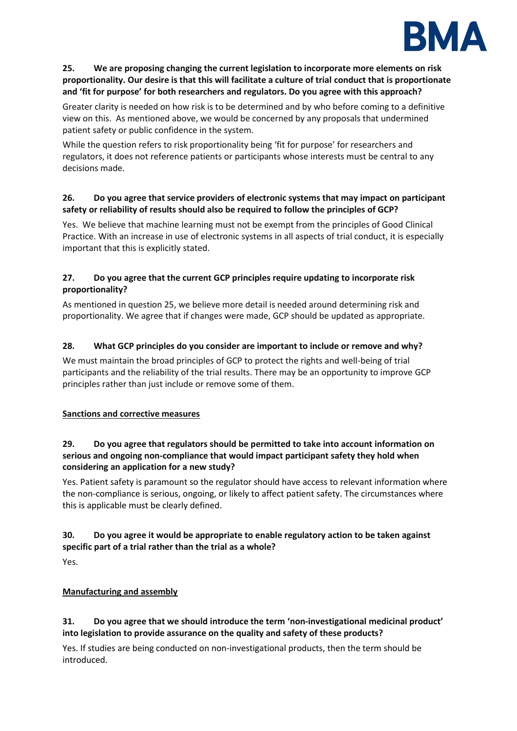

## **25. We are proposing changing the current legislation to incorporate more elements on risk proportionality. Our desire is that this will facilitate a culture of trial conduct that is proportionate and 'fit for purpose' for both researchers and regulators. Do you agree with this approach?**

Greater clarity is needed on how risk is to be determined and by who before coming to a definitive view on this. As mentioned above, we would be concerned by any proposals that undermined patient safety or public confidence in the system.

While the question refers to risk proportionality being 'fit for purpose' for researchers and regulators, it does not reference patients or participants whose interests must be central to any decisions made.

## **26. Do you agree that service providers of electronic systems that may impact on participant safety or reliability of results should also be required to follow the principles of GCP?**

Yes. We believe that machine learning must not be exempt from the principles of Good Clinical Practice. With an increase in use of electronic systems in all aspects of trial conduct, it is especially important that this is explicitly stated.

## **27. Do you agree that the current GCP principles require updating to incorporate risk proportionality?**

As mentioned in question 25, we believe more detail is needed around determining risk and proportionality. We agree that if changes were made, GCP should be updated as appropriate.

# **28. What GCP principles do you consider are important to include or remove and why?**

We must maintain the broad principles of GCP to protect the rights and well-being of trial participants and the reliability of the trial results. There may be an opportunity to improve GCP principles rather than just include or remove some of them.

## **Sanctions and corrective measures**

## **29. Do you agree that regulators should be permitted to take into account information on serious and ongoing non-compliance that would impact participant safety they hold when considering an application for a new study?**

Yes. Patient safety is paramount so the regulator should have access to relevant information where the non-compliance is serious, ongoing, or likely to affect patient safety. The circumstances where this is applicable must be clearly defined.

## **30. Do you agree it would be appropriate to enable regulatory action to be taken against specific part of a trial rather than the trial as a whole?**

Yes.

# **Manufacturing and assembly**

## **31. Do you agree that we should introduce the term 'non-investigational medicinal product' into legislation to provide assurance on the quality and safety of these products?**

Yes. If studies are being conducted on non-investigational products, then the term should be introduced.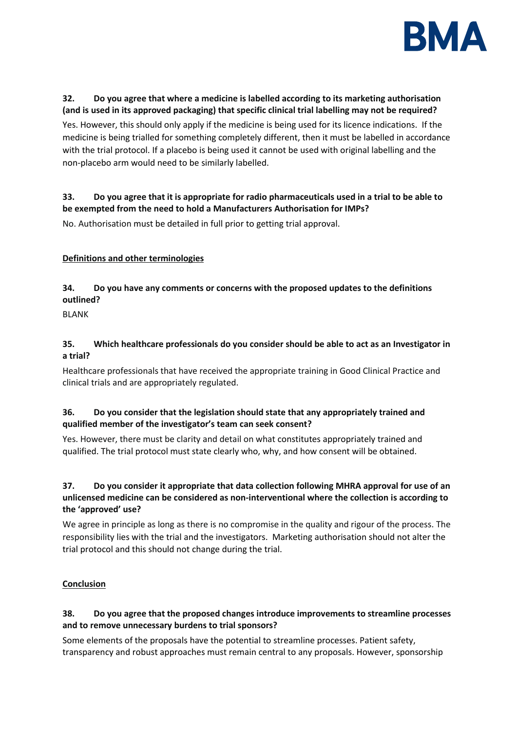

## **32. Do you agree that where a medicine is labelled according to its marketing authorisation (and is used in its approved packaging) that specific clinical trial labelling may not be required?**

Yes. However, this should only apply if the medicine is being used for its licence indications. If the medicine is being trialled for something completely different, then it must be labelled in accordance with the trial protocol. If a placebo is being used it cannot be used with original labelling and the non-placebo arm would need to be similarly labelled.

## **33. Do you agree that it is appropriate for radio pharmaceuticals used in a trial to be able to be exempted from the need to hold a Manufacturers Authorisation for IMPs?**

No. Authorisation must be detailed in full prior to getting trial approval.

## **Definitions and other terminologies**

## **34. Do you have any comments or concerns with the proposed updates to the definitions outlined?**

BLANK

## **35. Which healthcare professionals do you consider should be able to act as an Investigator in a trial?**

Healthcare professionals that have received the appropriate training in Good Clinical Practice and clinical trials and are appropriately regulated.

## **36. Do you consider that the legislation should state that any appropriately trained and qualified member of the investigator's team can seek consent?**

Yes. However, there must be clarity and detail on what constitutes appropriately trained and qualified. The trial protocol must state clearly who, why, and how consent will be obtained.

## **37. Do you consider it appropriate that data collection following MHRA approval for use of an unlicensed medicine can be considered as non-interventional where the collection is according to the 'approved' use?**

We agree in principle as long as there is no compromise in the quality and rigour of the process. The responsibility lies with the trial and the investigators. Marketing authorisation should not alter the trial protocol and this should not change during the trial.

## **Conclusion**

## **38. Do you agree that the proposed changes introduce improvements to streamline processes and to remove unnecessary burdens to trial sponsors?**

Some elements of the proposals have the potential to streamline processes. Patient safety, transparency and robust approaches must remain central to any proposals. However, sponsorship